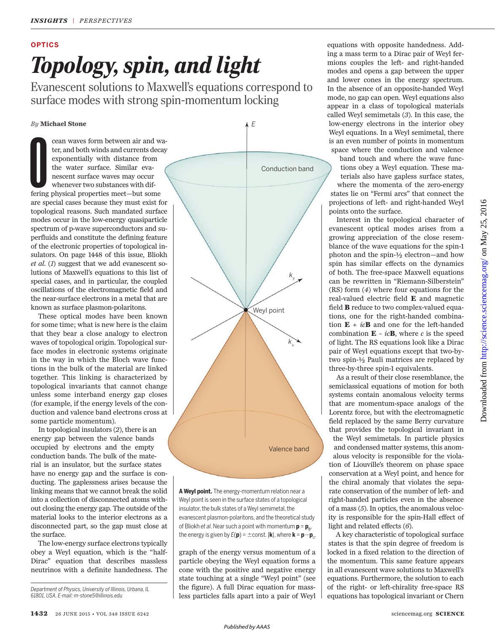# *Topology, spin, and light* **OPTICS**

Evanescent solutions to Maxwell's equations correspond to surface modes with strong spin-momentum locking

## *By* **Michael Stone**

Cean waves form between air and wa-<br>ter, and both winds and currents decay<br>exponentially with distance from<br>the water surface. Similar eva-<br>nescent surface waves may occur<br>whenever two substances with dif-<br>fering physical ter, and both winds and currents decay exponentially with distance from the water surface. Similar evanescent surface waves may occur whenever two substances with difare special cases because they must exist for topological reasons. Such mandated surface modes occur in the low-energy quasiparticle spectrum of p-wave superconductors and superfluids and constitute the defining feature of the electronic properties of topological insulators. On page 1448 of this issue, Bliokh *et al.* (1) suggest that we add evanescent solutions of Maxwell's equations to this list of special cases, and in particular, the coupled oscillations of the electromagnetic field and the near-surface electrons in a metal that are known as surface plasmon-polaritons.

These optical modes have been known for some time; what is new here is the claim that they bear a close analogy to electron waves of topological origin. Topological surface modes in electronic systems originate in the way in which the Bloch wave functions in the bulk of the material are linked together. This linking is characterized by topological invariants that cannot change unless some interband energy gap closes (for example, if the energy levels of the conduction and valence band electrons cross at some particle momentum).

In topological insulators (2), there is an energy gap between the valence bands occupied by electrons and the empty conduction bands. The bulk of the material is an insulator, but the surface states have no energy gap and the surface is conducting. The gaplessness arises because the linking means that we cannot break the solid into a collection of disconnected atoms without closing the energy gap. The outside of the material looks to the interior electrons as a disconnected part, so the gap must close at the surface.

The low-energy surface electrons typically obey a Weyl equation, which is the "half-Dirac" equation that describes massless neutrinos with a definite handedness. The

*Department of Physics, University of Illinois, Urbana, IL 61801, USA. E-mail: m-stone5@illinois.edu*



**A Weyl point.** The energy-momentum relation near a Weyl point is seen in the surface states of a topological insulator, the bulk states of a Weyl semimetal, the evanescent plasmon-polaritons, and the theoretical study of Bliokh *et al.* Near such a point with momentum  $\boldsymbol{\mathsf{p}} = \boldsymbol{\mathsf{p}}_\textnormal{o}$ , the energy is given by  $E(\mathbf{p}) = \pm$  const.  $|\mathbf{k}|$ , where  $\mathbf{k} = \mathbf{p} - \mathbf{p}_0$ .

graph of the energy versus momentum of a particle obeying the Weyl equation forms a cone with the positive and negative energy state touching at a single "Weyl point" (see the figure). A full Dirac equation for massless particles falls apart into a pair of Weyl equations with opposite handedness. Adding a mass term to a Dirac pair of Weyl fermions couples the left- and right-handed modes and opens a gap between the upper and lower cones in the energy spectrum. In the absence of an opposite-handed Weyl mode, no gap can open. Weyl equations also appear in a class of topological materials called Weyl semimetals (3). In this case, the low-energy electrons in the interior obey Weyl equations. In a Weyl semimetal, there is an even number of points in momentum space where the conduction and valence

band touch and where the wave functions obey a Weyl equation. These materials also have gapless surface states, where the momenta of the zero-energy states lie on "Fermi arcs" that connect the projections of left- and right-handed Weyl points onto the surface.

Interest in the topological character of evanescent optical modes arises from a growing appreciation of the close resemblance of the wave equations for the spin-1 photon and the spin-½ electron—and how spin has similar effects on the dynamics of both. The free-space Maxwell equations can be rewritten in "Riemann-Silberstein" (RS) form (4) where four equations for the real-valued electric field **E** and magnetic field **B** reduce to two complex-valued equations, one for the right-handed combination  $\mathbf{E} + i\mathbf{c}\mathbf{B}$  and one for the left-handed combination  $\mathbf{E} - ic\mathbf{B}$ , where *c* is the speed of light. The RS equations look like a Dirac pair of Weyl equations except that two-bytwo spin-½ Pauli matrices are replaced by three-by-three spin-1 equivalents.

As a result of their close resemblance, the semiclassical equations of motion for both systems contain anomalous velocity terms that are momentum-space analogs of the Lorentz force, but with the electromagnetic field replaced by the same Berry curvature that provides the topological invariant in the Weyl semimetals. In particle physics and condensed matter systems, this anomalous velocity is responsible for the violation of Liouville's theorem on phase space conservation at a Weyl point, and hence for the chiral anomaly that violates the separate conservation of the number of left- and right-handed particles even in the absence of a mass ( *5*). In optics, the anomalous velocity is responsible for the spin-Hall effect of light and related effects (6).

A key characteristic of topological surface states is that the spin degree of freedom is locked in a fixed relation to the direction of the momentum. This same feature appears in all evanescent wave solutions to Maxwell's equations. Furthermore, the solution to each of the right- or left-chirality free-space RS equations has topological invariant or Chern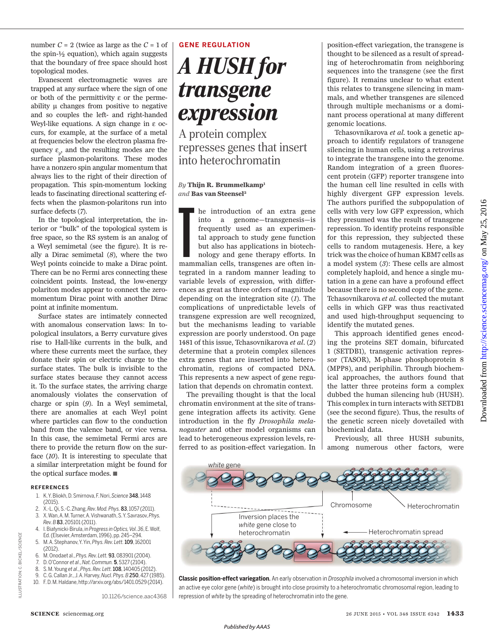number  $C = 2$  (twice as large as the  $C = 1$  of the spin-½ equation), which again suggests that the boundary of free space should host topological modes.

Evanescent electromagnetic waves are trapped at any surface where the sign of one or both of the permittivity ε or the permeability  $\mu$  changes from positive to negative and so couples the left- and right-handed Weyl-like equations. A sign change in ε occurs, for example, at the surface of a metal at frequencies below the electron plasma frequency  $\varepsilon_{p}$ , and the resulting modes are the surface plasmon-polaritons. These modes have a nonzero spin angular momentum that always lies to the right of their direction of propagation. This spin-momentum locking leads to fascinating directional scattering effects when the plasmon-polaritons run into surface defects (*7*).

In the topological interpretation, the interior or "bulk" of the topological system is free space, so the RS system is an analog of a Weyl semimetal (see the figure). It is really a Dirac semimetal (*8*), where the two Weyl points coincide to make a Dirac point. There can be no Fermi arcs connecting these coincident points. Instead, the low-energy polariton modes appear to connect the zeromomentum Dirac point with another Dirac point at infinite momentum.

Surface states are intimately connected with anomalous conservation laws: In topological insulators, a Berry curvature gives rise to Hall-like currents in the bulk, and where these currents meet the surface, they donate their spin or electric charge to the surface states. The bulk is invisible to the surface states because they cannot access it. To the surface states, the arriving charge anomalously violates the conservation of charge or spin (*9*). In a Weyl semimetal, there are anomalies at each Weyl point where particles can flow to the conduction band from the valence band, or vice versa. In this case, the semimetal Fermi arcs are there to provide the return flow on the surface (*10*). It is interesting to speculate that a similar interpretation might be found for the optical surface modes. ■

### **REFERENCES**

- 1. K.Y.Bliokh, D.Smirnova, F.Nori,*Science* 348, 1448  $(2015)$
- 2. X.-L.Qi,S.-C. Zhang,*Rev. Mod.Phys.* 83, 1057 (2011).
- 3. X.Wan,A.M.Turner,A.Vishwanath,S. Y.Savrasov,*Phys. Rev. B* 83,205101(2011).
- 4. I. Białynicki-Birula, in *Progress inOptics,Vol. 36*, E. Wolf, Ed. (Elsevier, Amsterdam, 1996), pp. 245–294.
- 5. M.A.Stephanov,Y. Yin,*Phys. Rev. Lett.*109, 162001 (2012).
- 6. M. Onodaet al.,*Phys. Rev. Lett.* 93,083901 (2004). 7. D. O'Connor *et al*., *Nat. Commun.* **5**, 5327 (2104).
- 8. S.M. Young *et al*., *Phys. Rev. Lett.*108,140405 (2012).
- 9. C.G. CallanJr.,J.A. Harvey,*Nucl. Phys.B* 250,427 (1985).
- 
- 10. F. D. M.Haldane,http://arxiv.org/abs/1401.0529 (2014).

10.1126/science.aac4368

# **GENE REGULATION**

# *A HUSH for transgene expression*

A protein complex represses genes that insert into heterochromatin

## *By* **Thijn R. Brummelkamp<sup>1</sup>** *and* **Bas van Steensel 2**

Into a genome—transgenesis—is<br>
frequently used as an experimen-<br>
tal approach to study gene function<br>
but also has applications in biotech-<br>
nology and gene therapy efforts. In<br>
mammalian cells, transgenes are often ininto a genome—transgenesis—is frequently used as an experimental approach to study gene function but also has applications in biotechnology and gene therapy efforts. In tegrated in a random manner leading to variable levels of expression, with differences as great as three orders of magnitude depending on the integration site (*1*). The complications of unpredictable levels of transgene expression are well recognized, but the mechanisms leading to variable expression are poorly understood. On page 1481 of this issue, Tchasovnikarova et al. (2) determine that a protein complex silences extra genes that are inserted into heterochromatin, regions of compacted DNA. This represents a new aspect of gene regulation that depends on chromatin context.

The prevailing thought is that the local chromatin environment at the site of transgene integration affects its activity. Gene introduction in the fly *Drosophila melanogaster* and other model organisms can lead to heterogeneous expression levels, referred to as position-effect variegation. In

position-effect variegation, the transgene is thought to be silenced as a result of spreading of heterochromatin from neighboring sequences into the transgene (see the first figure). It remains unclear to what extent this relates to transgene silencing in mammals, and whether transgenes are silenced through multiple mechanisms or a dominant process operational at many different genomic locations.

Tchasovnikarova *et al*. took a genetic approach to identify regulators of transgene silencing in human cells, using a retrovirus to integrate the transgene into the genome. Random integration of a green fluorescent protein (GFP) reporter transgene into the human cell line resulted in cells with highly divergent GFP expression levels. The authors purified the subpopulation of cells with very low GFP expression, which they presumed was the result of transgene repression. To identify proteins responsible for this repression, they subjected these cells to random mutagenesis. Here, a key trick was the choice of human KBM7 cells as a model system (*3*): These cells are almost completely haploid, and hence a single mutation in a gene can have a profound effect because there is no second copy of the gene. Tchasovnikarova *et al*. collected the mutant cells in which GFP was thus reactivated and used high-throughput sequencing to identify the mutated genes.

This approach identified genes encoding the proteins SET domain, bifurcated 1 (SETDB1), transgenic activation repressor (TASOR), M-phase phosphoprotein 8 (MPP8), and periphilin. Through biochemical approaches, the authors found that the latter three proteins form a complex dubbed the human silencing hub (HUSH). This complex in turn interacts with SETDB1 (see the second figure). Thus, the results of the genetic screen nicely dovetailed with biochemical data.

Previously, all three HUSH subunits, among numerous other factors, were



**Classic position-effect variegation**. An early observation in *Drosophila* involved a chromosomal inversion in which an active eye color gene (*white*) is brought into close proximity to a heterochromatic chromosomal region, leading to repression of *white* by the spreading of heterochromatin into the gene.

ILLUSTRATION: C.

LUSTRATION: C. BICKEL/*SCIENCE*

**BICKEL/SCIENCE**